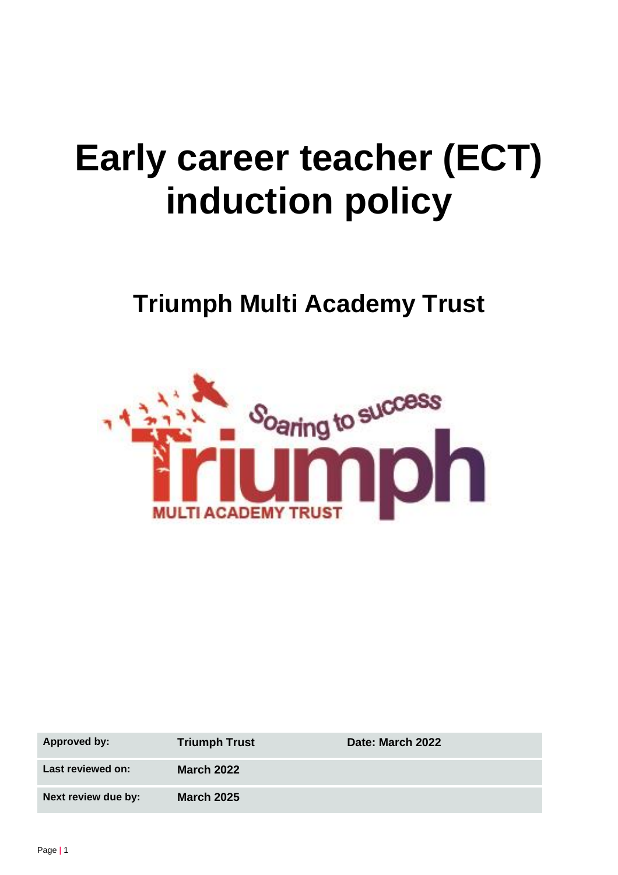# **Early career teacher (ECT) induction policy**

# **Triumph Multi Academy Trust**



| <b>Approved by:</b> | <b>Triumph Trust</b> | Date: March 2022 |
|---------------------|----------------------|------------------|
| Last reviewed on:   | <b>March 2022</b>    |                  |
| Next review due by: | <b>March 2025</b>    |                  |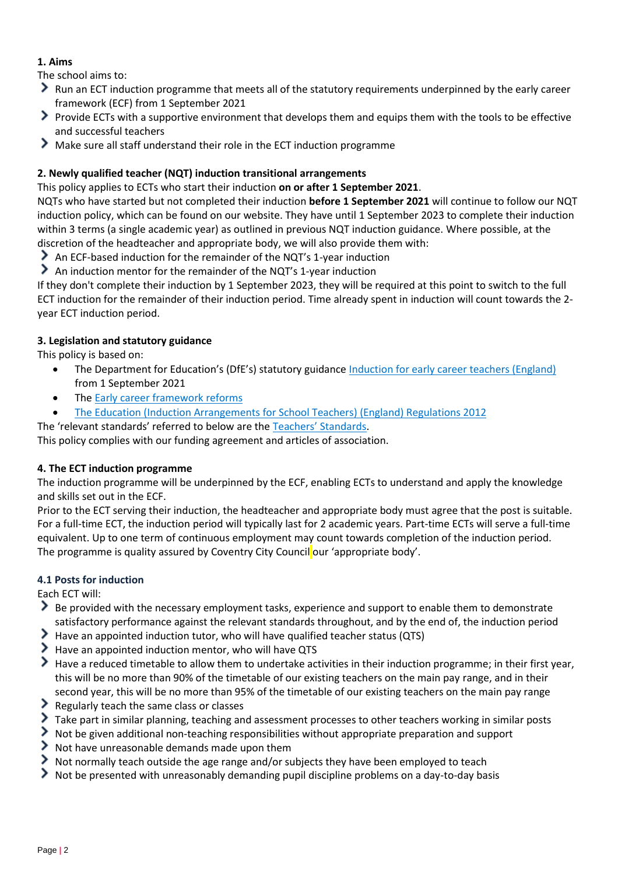# **1. Aims**

The school aims to:

- Run an ECT induction programme that meets all of the statutory requirements underpinned by the early career framework (ECF) from 1 September 2021
- Provide ECTs with a supportive environment that develops them and equips them with the tools to be effective and successful teachers
- Make sure all staff understand their role in the ECT induction programme

# **2. Newly qualified teacher (NQT) induction transitional arrangements**

This policy applies to ECTs who start their induction **on or after 1 September 2021**.

NQTs who have started but not completed their induction **before 1 September 2021** will continue to follow our NQT induction policy, which can be found on our website. They have until 1 September 2023 to complete their induction within 3 terms (a single academic year) as outlined in previous NQT induction guidance. Where possible, at the discretion of the headteacher and appropriate body, we will also provide them with:

An ECF-based induction for the remainder of the NQT's 1-year induction

An induction mentor for the remainder of the NQT's 1-year induction

If they don't complete their induction by 1 September 2023, they will be required at this point to switch to the full ECT induction for the remainder of their induction period. Time already spent in induction will count towards the 2 year ECT induction period.

# **3. Legislation and statutory guidance**

This policy is based on:

- The Department for Education's (DfE's) statutory guidance [Induction for early career teachers \(England\)](https://www.gov.uk/government/publications/induction-for-early-career-teachers-england) from 1 September 2021
- The [Early career framework reforms](https://www.gov.uk/government/collections/early-career-framework-reforms)
- [The Education \(Induction Arrangements for School Teachers\) \(England\) Regulations 2012](http://www.legislation.gov.uk/uksi/2012/1115/contents/made)

The 'relevant standards' referred to below are the Te[achers' Standards](https://www.gov.uk/government/publications/teachers-standards).

This policy complies with our funding agreement and articles of association.

# **4. The ECT induction programme**

The induction programme will be underpinned by the ECF, enabling ECTs to understand and apply the knowledge and skills set out in the ECF.

Prior to the ECT serving their induction, the headteacher and appropriate body must agree that the post is suitable. For a full-time ECT, the induction period will typically last for 2 academic years. Part-time ECTs will serve a full-time equivalent. Up to one term of continuous employment may count towards completion of the induction period. The programme is quality assured by Coventry City Council our 'appropriate body'.

# **4.1 Posts for induction**

Each ECT will:

- Be provided with the necessary employment tasks, experience and support to enable them to demonstrate satisfactory performance against the relevant standards throughout, and by the end of, the induction period
- Have an appointed induction tutor, who will have qualified teacher status (QTS)
- Have an appointed induction mentor, who will have QTS
- Have a reduced timetable to allow them to undertake activities in their induction programme; in their first year, this will be no more than 90% of the timetable of our existing teachers on the main pay range, and in their second year, this will be no more than 95% of the timetable of our existing teachers on the main pay range
- Regularly teach the same class or classes
- Take part in similar planning, teaching and assessment processes to other teachers working in similar posts
- $\blacktriangleright$  Not be given additional non-teaching responsibilities without appropriate preparation and support
- $\geq$  Not have unreasonable demands made upon them
- Not normally teach outside the age range and/or subjects they have been employed to teach
- ≻ Not be presented with unreasonably demanding pupil discipline problems on a day-to-day basis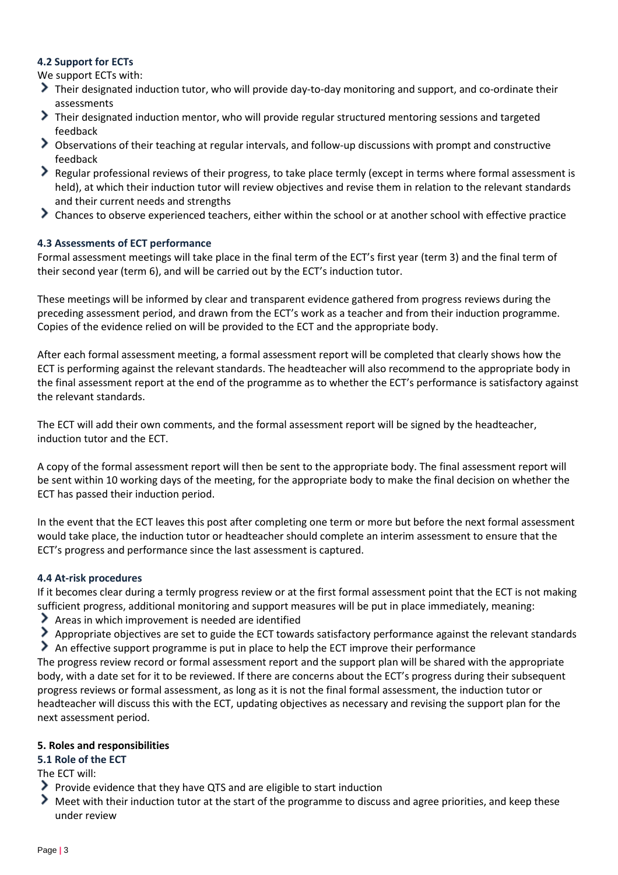# **4.2 Support for ECTs**

We support ECTs with:

- Their designated induction tutor, who will provide day-to-day monitoring and support, and co-ordinate their assessments
- Their designated induction mentor, who will provide regular structured mentoring sessions and targeted feedback
- Observations of their teaching at regular intervals, and follow-up discussions with prompt and constructive feedback
- Regular professional reviews of their progress, to take place termly (except in terms where formal assessment is held), at which their induction tutor will review objectives and revise them in relation to the relevant standards and their current needs and strengths
- Chances to observe experienced teachers, either within the school or at another school with effective practice

# **4.3 Assessments of ECT performance**

Formal assessment meetings will take place in the final term of the ECT's first year (term 3) and the final term of their second year (term 6), and will be carried out by the ECT's induction tutor.

These meetings will be informed by clear and transparent evidence gathered from progress reviews during the preceding assessment period, and drawn from the ECT's work as a teacher and from their induction programme. Copies of the evidence relied on will be provided to the ECT and the appropriate body.

After each formal assessment meeting, a formal assessment report will be completed that clearly shows how the ECT is performing against the relevant standards. The headteacher will also recommend to the appropriate body in the final assessment report at the end of the programme as to whether the ECT's performance is satisfactory against the relevant standards.

The ECT will add their own comments, and the formal assessment report will be signed by the headteacher, induction tutor and the ECT.

A copy of the formal assessment report will then be sent to the appropriate body. The final assessment report will be sent within 10 working days of the meeting, for the appropriate body to make the final decision on whether the ECT has passed their induction period.

In the event that the ECT leaves this post after completing one term or more but before the next formal assessment would take place, the induction tutor or headteacher should complete an interim assessment to ensure that the ECT's progress and performance since the last assessment is captured.

# **4.4 At-risk procedures**

If it becomes clear during a termly progress review or at the first formal assessment point that the ECT is not making sufficient progress, additional monitoring and support measures will be put in place immediately, meaning:

- Areas in which improvement is needed are identified
- Appropriate objectives are set to guide the ECT towards satisfactory performance against the relevant standards
- An effective support programme is put in place to help the ECT improve their performance

The progress review record or formal assessment report and the support plan will be shared with the appropriate body, with a date set for it to be reviewed. If there are concerns about the ECT's progress during their subsequent progress reviews or formal assessment, as long as it is not the final formal assessment, the induction tutor or headteacher will discuss this with the ECT, updating objectives as necessary and revising the support plan for the next assessment period.

#### **5. Roles and responsibilities**

# **5.1 Role of the ECT**

The ECT will:

- Provide evidence that they have QTS and are eligible to start induction
- Meet with their induction tutor at the start of the programme to discuss and agree priorities, and keep these under review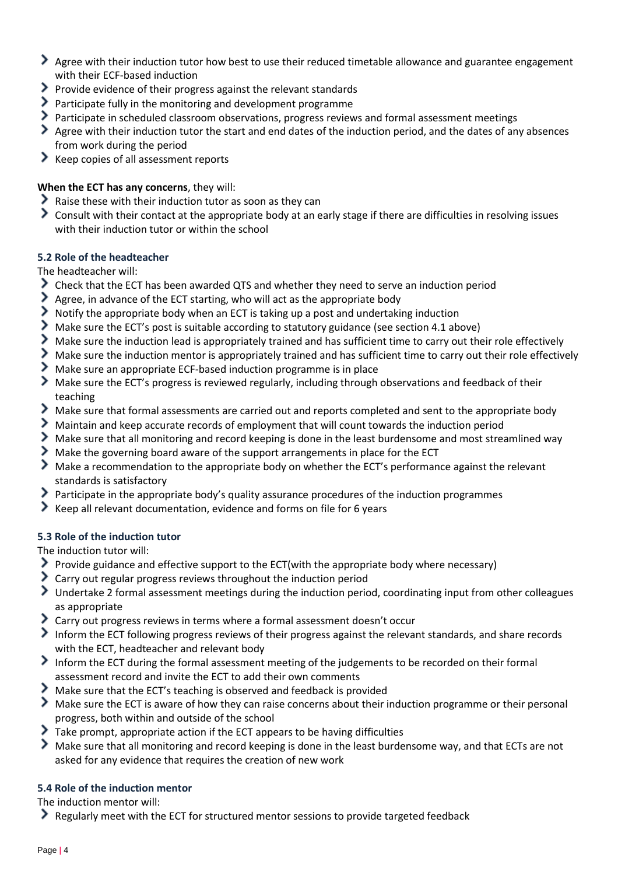- > Agree with their induction tutor how best to use their reduced timetable allowance and guarantee engagement with their ECF-based induction
- Provide evidence of their progress against the relevant standards
- Participate fully in the monitoring and development programme
- Participate in scheduled classroom observations, progress reviews and formal assessment meetings
- Agree with their induction tutor the start and end dates of the induction period, and the dates of any absences from work during the period
- Keep copies of all assessment reports

# **When the ECT has any concerns**, they will:

- Raise these with their induction tutor as soon as they can
- Consult with their contact at the appropriate body at an early stage if there are difficulties in resolving issues with their induction tutor or within the school

# **5.2 Role of the headteacher**

The headteacher will:

- Check that the ECT has been awarded QTS and whether they need to serve an induction period
- Agree, in advance of the ECT starting, who will act as the appropriate body
- Notify the appropriate body when an ECT is taking up a post and undertaking induction
- Make sure the ECT's post is suitable according to statutory guidance (see section 4.1 above)
- Make sure the induction lead is appropriately trained and has sufficient time to carry out their role effectively
- Make sure the induction mentor is appropriately trained and has sufficient time to carry out their role effectively
- Make sure an appropriate ECF-based induction programme is in place
- Make sure the ECT's progress is reviewed regularly, including through observations and feedback of their teaching
- Make sure that formal assessments are carried out and reports completed and sent to the appropriate body
- Maintain and keep accurate records of employment that will count towards the induction period
- Make sure that all monitoring and record keeping is done in the least burdensome and most streamlined way
- Make the governing board aware of the support arrangements in place for the ECT
- Make a recommendation to the appropriate body on whether the ECT's performance against the relevant standards is satisfactory
- Participate in the appropriate body's quality assurance procedures of the induction programmes
- ⋗ Keep all relevant documentation, evidence and forms on file for 6 years

# **5.3 Role of the induction tutor**

The induction tutor will:

- Provide guidance and effective support to the ECT(with the appropriate body where necessary)
- Carry out regular progress reviews throughout the induction period
- Undertake 2 formal assessment meetings during the induction period, coordinating input from other colleagues as appropriate
- Carry out progress reviews in terms where a formal assessment doesn't occur
- Inform the ECT following progress reviews of their progress against the relevant standards, and share records with the ECT, headteacher and relevant body
- Inform the ECT during the formal assessment meeting of the judgements to be recorded on their formal assessment record and invite the ECT to add their own comments
- Make sure that the ECT's teaching is observed and feedback is provided
- Make sure the ECT is aware of how they can raise concerns about their induction programme or their personal progress, both within and outside of the school
- Take prompt, appropriate action if the ECT appears to be having difficulties
- Make sure that all monitoring and record keeping is done in the least burdensome way, and that ECTs are not asked for any evidence that requires the creation of new work

# **5.4 Role of the induction mentor**

The induction mentor will:

Regularly meet with the ECT for structured mentor sessions to provide targeted feedback